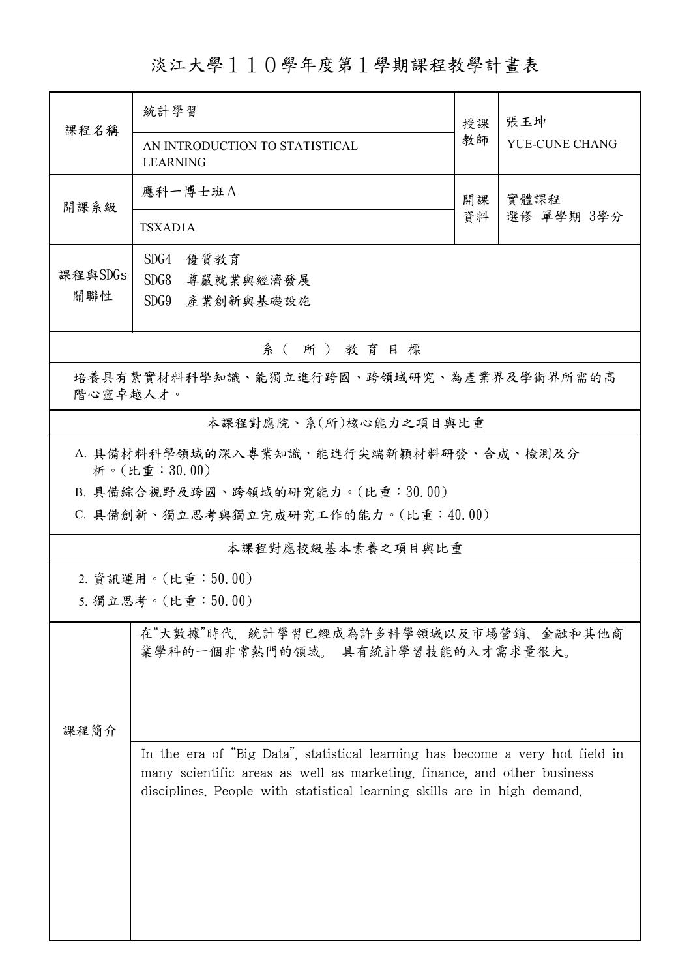## 淡江大學110學年度第1學期課程教學計畫表

| 課程名稱                                                                                       | 統計學習<br>AN INTRODUCTION TO STATISTICAL                                                                                                                                                                                               |          | 張玉坤<br>YUE-CUNE CHANG |  |  |  |  |
|--------------------------------------------------------------------------------------------|--------------------------------------------------------------------------------------------------------------------------------------------------------------------------------------------------------------------------------------|----------|-----------------------|--|--|--|--|
| 開課系級                                                                                       | <b>LEARNING</b><br>應科一博士班A<br>TSXAD1A                                                                                                                                                                                                | 開課<br>資料 | 實體課程<br>選修 單學期 3學分    |  |  |  |  |
| 課程與SDGs<br>關聯性                                                                             | SDG4<br>優質教育<br>SDG8<br>尊嚴就業與經濟發展<br>SDG9<br>產業創新與基礎設施                                                                                                                                                                               |          |                       |  |  |  |  |
| 系(所)教育目標                                                                                   |                                                                                                                                                                                                                                      |          |                       |  |  |  |  |
| 培養具有紮實材料科學知識、能獨立進行跨國、跨領域研究、為產業界及學術界所需的高<br>階心靈卓越人才。                                        |                                                                                                                                                                                                                                      |          |                       |  |  |  |  |
| 本課程對應院、系(所)核心能力之項目與比重                                                                      |                                                                                                                                                                                                                                      |          |                       |  |  |  |  |
| A. 具備材料科學領域的深入專業知識,能進行尖端新穎材料研發、合成、檢測及分<br>析。(比重:30.00)<br>B. 具備綜合視野及跨國、跨領域的研究能力。(比重:30.00) |                                                                                                                                                                                                                                      |          |                       |  |  |  |  |
|                                                                                            | C. 具備創新、獨立思考與獨立完成研究工作的能力。(比重:40.00)                                                                                                                                                                                                  |          |                       |  |  |  |  |
| 本課程對應校級基本素養之項目與比重                                                                          |                                                                                                                                                                                                                                      |          |                       |  |  |  |  |
| 2. 資訊運用。(比重:50.00)                                                                         |                                                                                                                                                                                                                                      |          |                       |  |  |  |  |
|                                                                                            | 5. 獨立思考。(比重:50.00)                                                                                                                                                                                                                   |          |                       |  |  |  |  |
| 課程簡介                                                                                       | 在"大數據"時代、統計學習已經成為許多科學領域以及市場營銷、金融和其他商<br>業學科的一個非常熱門的領域。 具有統計學習技能的人才需求量很大。                                                                                                                                                             |          |                       |  |  |  |  |
|                                                                                            | In the era of "Big Data", statistical learning has become a very hot field in<br>many scientific areas as well as marketing, finance, and other business<br>disciplines. People with statistical learning skills are in high demand. |          |                       |  |  |  |  |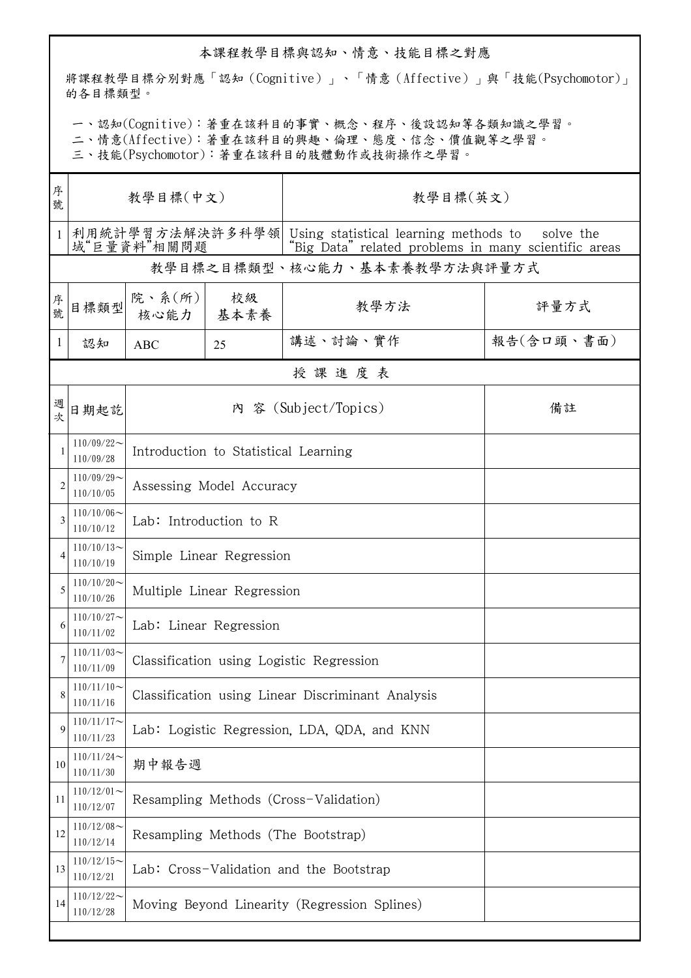## 本課程教學目標與認知、情意、技能目標之對應

將課程教學目標分別對應「認知(Cognitive)」、「情意(Affective)」與「技能(Psychomotor)」 的各目標類型。

一、認知(Cognitive):著重在該科目的事實、概念、程序、後設認知等各類知識之學習。

二、情意(Affective):著重在該科目的興趣、倫理、態度、信念、價值觀等之學習。

三、技能(Psychomotor):著重在該科目的肢體動作或技術操作之學習。

| 序<br>號       | 教學目標(中文)                        |                                                   |            | 教學目標(英文)                                                                                                   |            |  |  |
|--------------|---------------------------------|---------------------------------------------------|------------|------------------------------------------------------------------------------------------------------------|------------|--|--|
| $\mathbf{1}$ | 利用統計學習方法解決許多科學領 <br>域"巨量資料"相關問題 |                                                   |            | Using statistical learning methods to<br>solve the<br>"Big Data" related problems in many scientific areas |            |  |  |
|              |                                 |                                                   |            | 教學目標之目標類型、核心能力、基本素養教學方法與評量方式                                                                               |            |  |  |
| 序號           | 目標類型                            | 院、系(所)<br>核心能力                                    | 校級<br>基本素養 | 教學方法                                                                                                       | 評量方式       |  |  |
| 1            | 認知                              | <b>ABC</b>                                        | 25         | 講述、討論、實作                                                                                                   | 報告(含口頭、書面) |  |  |
|              |                                 |                                                   |            | 授課進度表                                                                                                      |            |  |  |
| 週<br>次       | 日期起訖                            |                                                   |            | 內 容 (Subject/Topics)                                                                                       | 備註         |  |  |
|              | $110/09/22$ ~<br>110/09/28      | Introduction to Statistical Learning              |            |                                                                                                            |            |  |  |
| 2            | $110/09/29$ ~<br>110/10/05      | Assessing Model Accuracy                          |            |                                                                                                            |            |  |  |
| 3            | $110/10/06$ ~<br>110/10/12      | Lab: Introduction to R                            |            |                                                                                                            |            |  |  |
| 4            | $110/10/13$ ~<br>110/10/19      | Simple Linear Regression                          |            |                                                                                                            |            |  |  |
| 5            | $110/10/20$ ~<br>110/10/26      | Multiple Linear Regression                        |            |                                                                                                            |            |  |  |
| 6            | $110/10/27$ ~<br>110/11/02      | Lab: Linear Regression                            |            |                                                                                                            |            |  |  |
|              | $110/11/03$ ~<br>110/11/09      | Classification using Logistic Regression          |            |                                                                                                            |            |  |  |
| 8            | $110/11/10$ ~<br>110/11/16      | Classification using Linear Discriminant Analysis |            |                                                                                                            |            |  |  |
| 9            | $110/11/17$ ~<br>110/11/23      | Lab: Logistic Regression, LDA, QDA, and KNN       |            |                                                                                                            |            |  |  |
| 10           | $110/11/24$ ~<br>110/11/30      | 期中報告週                                             |            |                                                                                                            |            |  |  |
| 11           | $110/12/01$ ~<br>110/12/07      | Resampling Methods (Cross-Validation)             |            |                                                                                                            |            |  |  |
| 12           | $110/12/08$ ~<br>110/12/14      | Resampling Methods (The Bootstrap)                |            |                                                                                                            |            |  |  |
| 13           | $110/12/15$ ~<br>110/12/21      | Lab: Cross-Validation and the Bootstrap           |            |                                                                                                            |            |  |  |
| 14           | $110/12/22$ ~<br>110/12/28      | Moving Beyond Linearity (Regression Splines)      |            |                                                                                                            |            |  |  |
|              |                                 |                                                   |            |                                                                                                            |            |  |  |